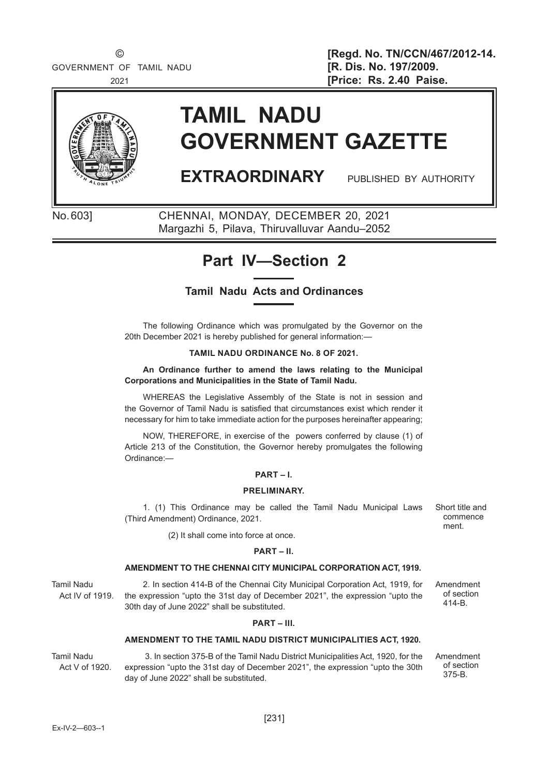

# **TAMIL NADU GOVERNMENT GAZETTE**

# **EXTRAORDINARY** PUBLISHED BY AUTHORITY

No. 603] CHENNAI, MONDAY, DECEMBER 20, 2021 Margazhi 5, Pilava, Thiruvalluvar Aandu–2052

# **Part IV—Section 2**

# **Tamil Nadu Acts and Ordinances**

The following Ordinance which was promulgated by the Governor on the 20th December 2021 is hereby published for general information:—

#### **TAMIL NADU ORDINANCE No. 8 OF 2021.**

**An Ordinance further to amend the laws relating to the Municipal Corporations and Municipalities in the State of Tamil Nadu.**

WHEREAS the Legislative Assembly of the State is not in session and the Governor of Tamil Nadu is satisfied that circumstances exist which render it necessary for him to take immediate action for the purposes hereinafter appearing;

NOW, THEREFORE, in exercise of the powers conferred by clause (1) of Article 213 of the Constitution, the Governor hereby promulgates the following Ordinance:—

#### **PART – I.**

#### **PRELIMINARY.**

1. (1) This Ordinance may be called the Tamil Nadu Municipal Laws (Third Amendment) Ordinance, 2021.

(2) It shall come into force at once.

#### **PART – II.**

#### **AMENDMENT TO THE CHENNAI CITY MUNICIPAL CORPORATION ACT, 1919.**

Tamil Nadu Act IV of 1919.

2. In section 414-B of the Chennai City Municipal Corporation Act, 1919, for the expression "upto the 31st day of December 2021", the expression "upto the 30th day of June 2022" shall be substituted.

#### **PART – III.**

#### **AMENDMENT TO THE TAMIL NADU DISTRICT MUNICIPALITIES ACT, 1920.**

Tamil Nadu Act V of 1920.

 3. In section 375-B of the Tamil Nadu District Municipalities Act, 1920, for the expression "upto the 31st day of December 2021", the expression "upto the 30th day of June 2022" shall be substituted.

Amendment

Short title and commence ment.

of section 414-B.

Amendment of section 375-B.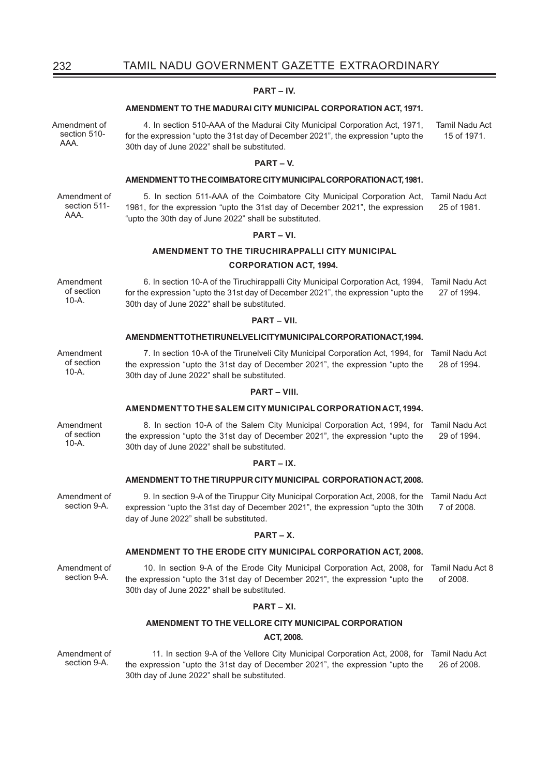# 232 TAMIL NADU GOVERNMENT GAZETTE EXTRAORDINARY

#### **PART – IV.**

#### **AMENDMENT TO THE MADURAI CITY MUNICIPAL CORPORATION ACT, 1971.**

Amendment of 4. In section 510-AAA of the Madurai City Municipal Corporation Act, 1971, for the expression "upto the 31st day of December 2021", the expression "upto the 30th day of June 2022" shall be substituted. Tamil Nadu Act 15 of 1971.

#### **PART – V.**

#### **AMENDMENT TO THE COIMBATORE CITY MUNICIPAL CORPORATION ACT, 1981.**

Amendment of section 511- AAA.

section 510- AAA.

> 5. In section 511-AAA of the Coimbatore City Municipal Corporation Act, Tamil Nadu Act 1981, for the expression "upto the 31st day of December 2021", the expression "upto the 30th day of June 2022" shall be substituted. 25 of 1981.

6. In section 10-A of the Tiruchirappalli City Municipal Corporation Act, 1994, Tamil Nadu Act

27 of 1994.

#### **PART – VI.**

#### **AMENDMENT TO THE TIRUCHIRAPPALLI CITY MUNICIPAL**

for the expression "upto the 31st day of December 2021", the expression "upto the

**PART – VII. AMENDMENT TO THE TIRUNELVELI CITY MUNICIPAL CORPORATION ACT, 1994.**

30th day of June 2022" shall be substituted.

#### **CORPORATION ACT, 1994.**

Amendment of section 10-A.

Amendment of section  $10-A$ .

7. In section 10-A of the Tirunelveli City Municipal Corporation Act, 1994, for Tamil Nadu Act the expression "upto the 31st day of December 2021", the expression "upto the 30th day of June 2022" shall be substituted. 28 of 1994.

#### **PART – VIII.**

#### **AMENDMENT TO THE SALEM CITY MUNICIPAL CORPORATION ACT, 1994.**

8. In section 10-A of the Salem City Municipal Corporation Act, 1994, for Tamil Nadu Act the expression "upto the 31st day of December 2021", the expression "upto the 30th day of June 2022" shall be substituted. 29 of 1994.

#### **PART – IX.**

#### **AMENDMENT TO THE TIRUPPUR CITY MUNICIPAL CORPORATION ACT, 2008.**

Amendment of 9. In section 9-A of the Tiruppur City Municipal Corporation Act, 2008, for the expression "upto the 31st day of December 2021", the expression "upto the 30th day of June 2022" shall be substituted. Tamil Nadu Act 7 of 2008.

#### **PART – X.**

#### **AMENDMENT TO THE ERODE CITY MUNICIPAL CORPORATION ACT, 2008.**

Amendment of section 9-A.

section 9-A.

10. In section 9-A of the Erode City Municipal Corporation Act, 2008, for Tamil Nadu Act 8 the expression "upto the 31st day of December 2021", the expression "upto the 30th day of June 2022" shall be substituted. of 2008.

#### **PART – XI.**

#### **AMENDMENT TO THE VELLORE CITY MUNICIPAL CORPORATION**

#### **ACT, 2008.**

Amendment of section 9-A.

 11. In section 9-A of the Vellore City Municipal Corporation Act, 2008, for Tamil Nadu Act the expression "upto the 31st day of December 2021", the expression "upto the 30th day of June 2022" shall be substituted. 26 of 2008.

Amendment of section 10-A.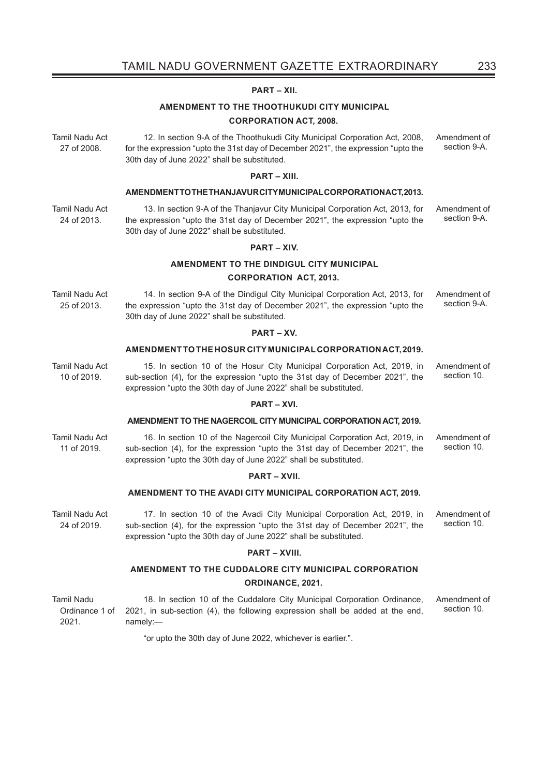#### **PART – XII.**

#### **AMENDMENT TO THE THOOTHUKUDI CITY MUNICIPAL**

#### **CORPORATION ACT, 2008.**

Tamil Nadu Act 27 of 2008. 12. In section 9-A of the Thoothukudi City Municipal Corporation Act, 2008, for the expression "upto the 31st day of December 2021", the expression "upto the 30th day of June 2022" shall be substituted. Amendment of section 9-A.

#### **PART – XIII.**

# **AMENDMENT TO THE THANJAVUR CITY MUNICIPAL CORPORATION ACT, 2013.**

Tamil Nadu Act 24 of 2013.

10 of 2019.

13. In section 9-A of the Thanjavur City Municipal Corporation Act, 2013, for the expression "upto the 31st day of December 2021", the expression "upto the 30th day of June 2022" shall be substituted. Amendment of section 9-A.

#### **PART – XIV.**

#### **AMENDMENT TO THE DINDIGUL CITY MUNICIPAL**

#### **CORPORATION ACT, 2013.**

Tamil Nadu Act 25 of 2013. 14. In section 9-A of the Dindigul City Municipal Corporation Act, 2013, for the expression "upto the 31st day of December 2021", the expression "upto the 30th day of June 2022" shall be substituted. Amendment of section 9-A.

#### **PART – XV.**

#### **AMENDMENT TO THE HOSUR CITY MUNICIPAL CORPORATION ACT, 2019.**

Tamil Nadu Act 15. In section 10 of the Hosur City Municipal Corporation Act, 2019, in sub-section (4), for the expression "upto the 31st day of December 2021", the expression "upto the 30th day of June 2022" shall be substituted. Amendment of

#### **PART – XVI.**

#### **AMENDMENT TO THE NAGERCOIL CITY MUNICIPAL CORPORATION ACT, 2019.**

Tamil Nadu Act 11 of 2019. 16. In section 10 of the Nagercoil City Municipal Corporation Act, 2019, in sub-section (4), for the expression "upto the 31st day of December 2021", the expression "upto the 30th day of June 2022" shall be substituted. Amendment of section 10.

#### **PART – XVII.**

#### **AMENDMENT TO THE AVADI CITY MUNICIPAL CORPORATION ACT, 2019.**

Tamil Nadu Act 24 of 2019. 17. In section 10 of the Avadi City Municipal Corporation Act, 2019, in sub-section (4), for the expression "upto the 31st day of December 2021", the expression "upto the 30th day of June 2022" shall be substituted. Amendment of section 10.

#### **PART – XVIII.**

# **AMENDMENT TO THE CUDDALORE CITY MUNICIPAL CORPORATION ORDINANCE, 2021.**

Tamil Nadu Ordinance 1 of 2021. 18. In section 10 of the Cuddalore City Municipal Corporation Ordinance, 2021, in sub-section (4), the following expression shall be added at the end, namely:— Amendment of section 10.

"or upto the 30th day of June 2022, whichever is earlier.".

section 10.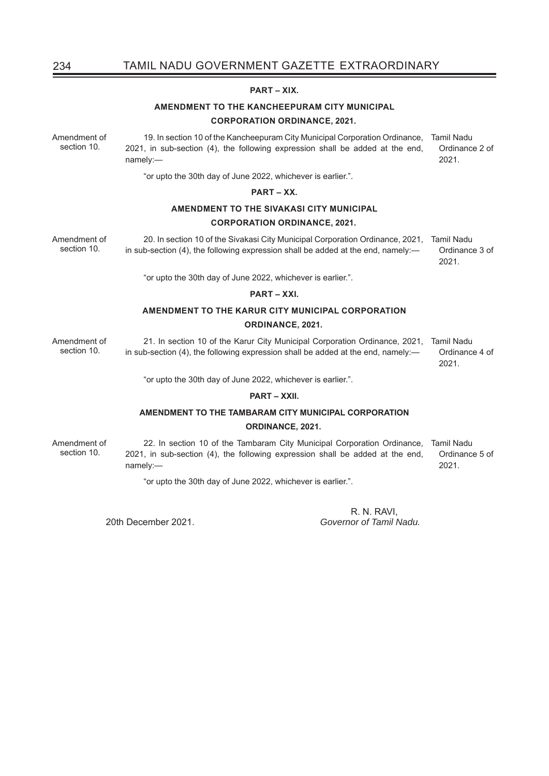# 234 TAMIL NADU GOVERNMENT GAZETTE EXTRAORDINARY

#### **PART – XIX.**

### **AMENDMENT TO THE KANCHEEPURAM CITY MUNICIPAL CORPORATION ORDINANCE, 2021.**

Amendment of section 10. 19. In section 10 of the Kancheepuram City Municipal Corporation Ordinance, Tamil Nadu 2021, in sub-section (4), the following expression shall be added at the end, namely:— Ordinance 2 of 2021.

"or upto the 30th day of June 2022, whichever is earlier.".

#### **PART – XX.**

# **AMENDMENT TO THE SIVAKASI CITY MUNICIPAL CORPORATION ORDINANCE, 2021.**

Amendment of section 10. 20. In section 10 of the Sivakasi City Municipal Corporation Ordinance, 2021, Tamil Nadu in sub-section (4), the following expression shall be added at the end, namely:— Ordinance 3 of 2021.

"or upto the 30th day of June 2022, whichever is earlier.".

#### **PART – XXI.**

# **AMENDMENT TO THE KARUR CITY MUNICIPAL CORPORATION ORDINANCE, 2021.**

Amendment of section 10. 21. In section 10 of the Karur City Municipal Corporation Ordinance, 2021, Tamil Nadu in sub-section (4), the following expression shall be added at the end, namely:— Ordinance 4 of 2021.

"or upto the 30th day of June 2022, whichever is earlier.".

#### **PART – XXII.**

### **AMENDMENT TO THE TAMBARAM CITY MUNICIPAL CORPORATION ORDINANCE, 2021.**

Amendment of section 10. 22. In section 10 of the Tambaram City Municipal Corporation Ordinance, Tamil Nadu 2021, in sub-section (4), the following expression shall be added at the end, namely:— Ordinance 5 of 2021.

"or upto the 30th day of June 2022, whichever is earlier.".

R. N. RAVI,<br>20th December 2021 (Governor of Tamil I 20th December 2021. *Governor of Tamil Nadu.*